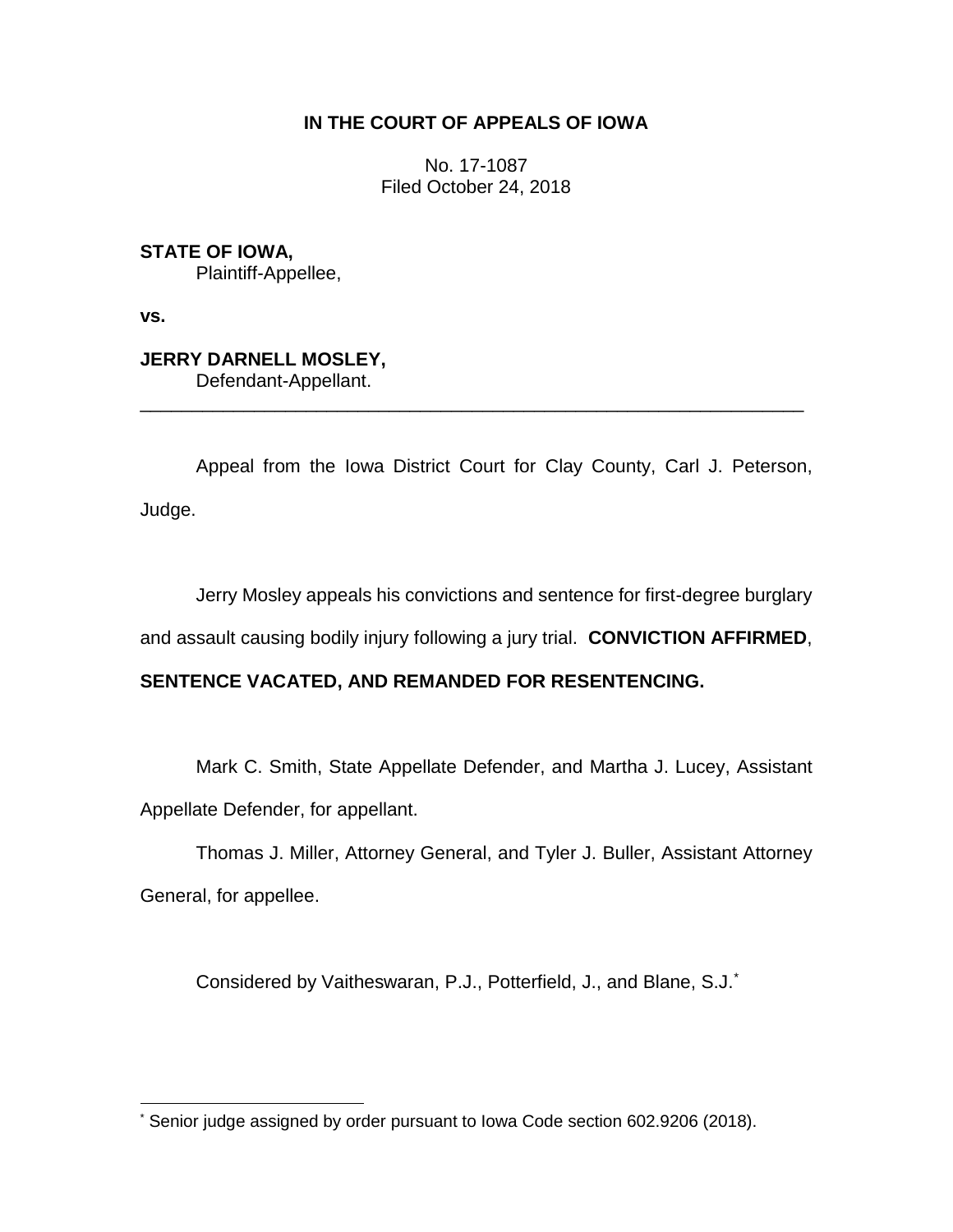## **IN THE COURT OF APPEALS OF IOWA**

No. 17-1087 Filed October 24, 2018

**STATE OF IOWA,** Plaintiff-Appellee,

**vs.**

**JERRY DARNELL MOSLEY,** Defendant-Appellant.

Appeal from the Iowa District Court for Clay County, Carl J. Peterson, Judge.

\_\_\_\_\_\_\_\_\_\_\_\_\_\_\_\_\_\_\_\_\_\_\_\_\_\_\_\_\_\_\_\_\_\_\_\_\_\_\_\_\_\_\_\_\_\_\_\_\_\_\_\_\_\_\_\_\_\_\_\_\_\_\_\_

Jerry Mosley appeals his convictions and sentence for first-degree burglary

and assault causing bodily injury following a jury trial. **CONVICTION AFFIRMED**,

# **SENTENCE VACATED, AND REMANDED FOR RESENTENCING.**

Mark C. Smith, State Appellate Defender, and Martha J. Lucey, Assistant Appellate Defender, for appellant.

Thomas J. Miller, Attorney General, and Tyler J. Buller, Assistant Attorney General, for appellee.

Considered by Vaitheswaran, P.J., Potterfield, J., and Blane, S.J.\*

 $\overline{a}$ Senior judge assigned by order pursuant to Iowa Code section 602.9206 (2018).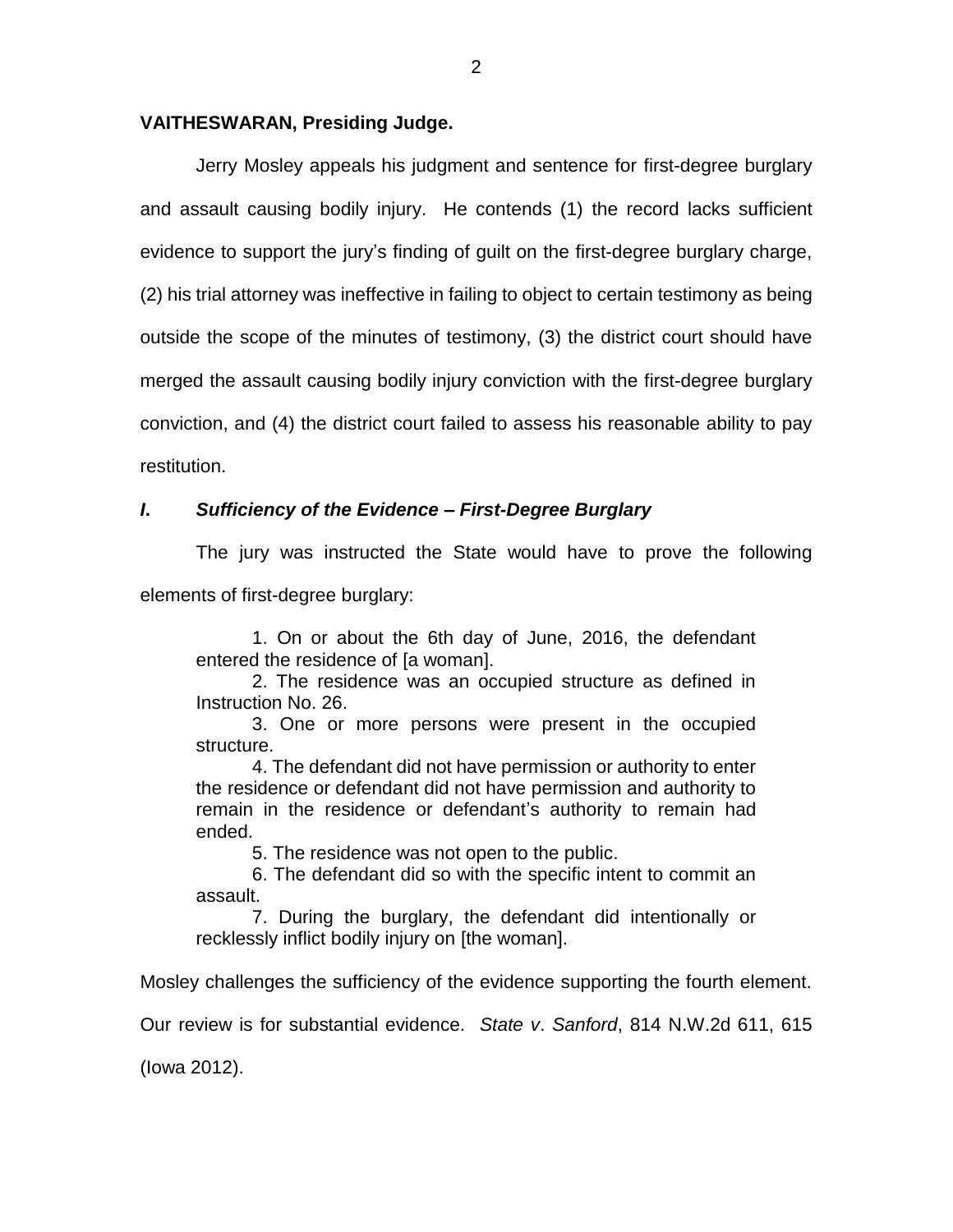### **VAITHESWARAN, Presiding Judge.**

Jerry Mosley appeals his judgment and sentence for first-degree burglary and assault causing bodily injury. He contends (1) the record lacks sufficient evidence to support the jury's finding of guilt on the first-degree burglary charge, (2) his trial attorney was ineffective in failing to object to certain testimony as being outside the scope of the minutes of testimony, (3) the district court should have merged the assault causing bodily injury conviction with the first-degree burglary conviction, and (4) the district court failed to assess his reasonable ability to pay restitution.

## *I***.** *Sufficiency of the Evidence – First-Degree Burglary*

The jury was instructed the State would have to prove the following

elements of first-degree burglary:

1. On or about the 6th day of June, 2016, the defendant entered the residence of [a woman].

2. The residence was an occupied structure as defined in Instruction No. 26.

3. One or more persons were present in the occupied structure.

4. The defendant did not have permission or authority to enter the residence or defendant did not have permission and authority to remain in the residence or defendant's authority to remain had ended.

5. The residence was not open to the public.

6. The defendant did so with the specific intent to commit an assault.

7. During the burglary, the defendant did intentionally or recklessly inflict bodily injury on [the woman].

Mosley challenges the sufficiency of the evidence supporting the fourth element.

Our review is for substantial evidence. *State v*. *Sanford*, 814 N.W.2d 611, 615

(Iowa 2012).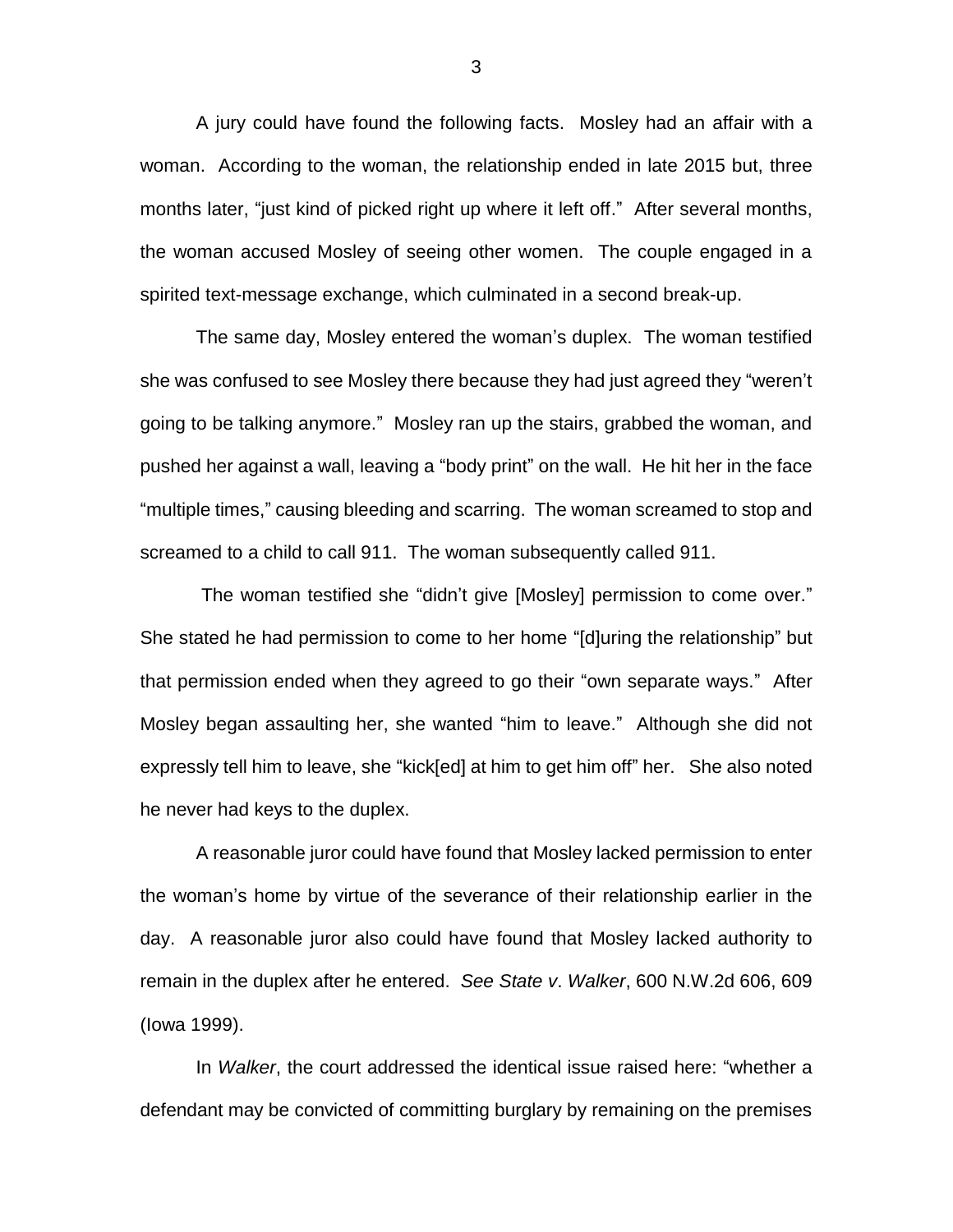A jury could have found the following facts. Mosley had an affair with a woman. According to the woman, the relationship ended in late 2015 but, three months later, "just kind of picked right up where it left off." After several months, the woman accused Mosley of seeing other women. The couple engaged in a spirited text-message exchange, which culminated in a second break-up.

The same day, Mosley entered the woman's duplex. The woman testified she was confused to see Mosley there because they had just agreed they "weren't going to be talking anymore." Mosley ran up the stairs, grabbed the woman, and pushed her against a wall, leaving a "body print" on the wall. He hit her in the face "multiple times," causing bleeding and scarring. The woman screamed to stop and screamed to a child to call 911. The woman subsequently called 911.

The woman testified she "didn't give [Mosley] permission to come over." She stated he had permission to come to her home "[d]uring the relationship" but that permission ended when they agreed to go their "own separate ways." After Mosley began assaulting her, she wanted "him to leave." Although she did not expressly tell him to leave, she "kick[ed] at him to get him off" her. She also noted he never had keys to the duplex.

A reasonable juror could have found that Mosley lacked permission to enter the woman's home by virtue of the severance of their relationship earlier in the day. A reasonable juror also could have found that Mosley lacked authority to remain in the duplex after he entered. *See State v*. *Walker*, 600 N.W.2d 606, 609 (Iowa 1999).

In *Walker*, the court addressed the identical issue raised here: "whether a defendant may be convicted of committing burglary by remaining on the premises

3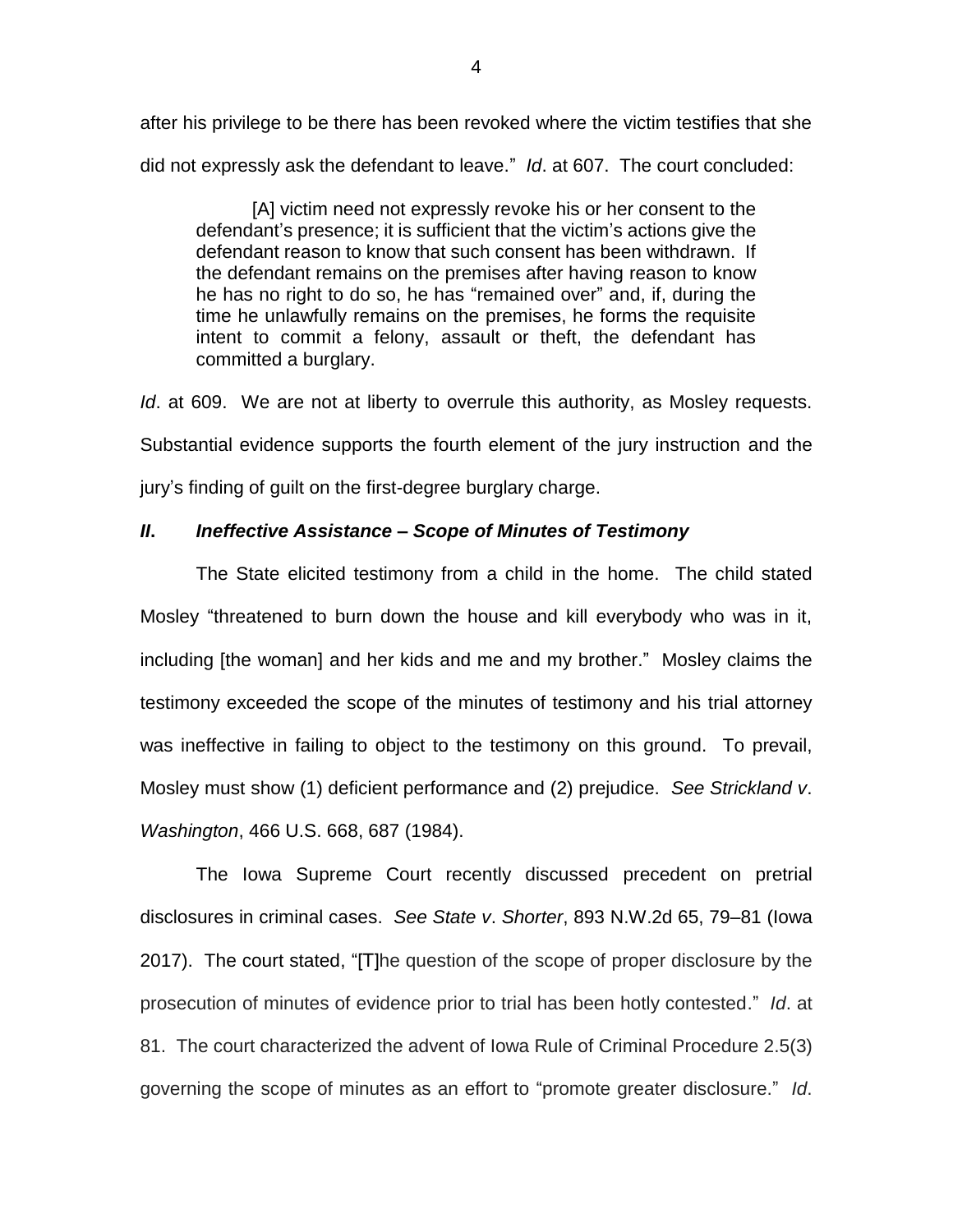after his privilege to be there has been revoked where the victim testifies that she did not expressly ask the defendant to leave." *Id*. at 607. The court concluded:

[A] victim need not expressly revoke his or her consent to the defendant's presence; it is sufficient that the victim's actions give the defendant reason to know that such consent has been withdrawn. If the defendant remains on the premises after having reason to know he has no right to do so, he has "remained over" and, if, during the time he unlawfully remains on the premises, he forms the requisite intent to commit a felony, assault or theft, the defendant has committed a burglary.

*Id*. at 609. We are not at liberty to overrule this authority, as Mosley requests. Substantial evidence supports the fourth element of the jury instruction and the jury's finding of guilt on the first-degree burglary charge.

# *II***.** *Ineffective Assistance – Scope of Minutes of Testimony*

The State elicited testimony from a child in the home. The child stated Mosley "threatened to burn down the house and kill everybody who was in it, including [the woman] and her kids and me and my brother." Mosley claims the testimony exceeded the scope of the minutes of testimony and his trial attorney was ineffective in failing to object to the testimony on this ground. To prevail, Mosley must show (1) deficient performance and (2) prejudice. *See Strickland v*. *Washington*, 466 U.S. 668, 687 (1984).

The Iowa Supreme Court recently discussed precedent on pretrial disclosures in criminal cases. *See State v*. *Shorter*, 893 N.W.2d 65, 79–81 (Iowa 2017). The court stated, "[T]he question of the scope of proper disclosure by the prosecution of minutes of evidence prior to trial has been hotly contested." *Id*. at 81. The court characterized the advent of Iowa Rule of Criminal Procedure 2.5(3) governing the scope of minutes as an effort to "promote greater disclosure." *Id*.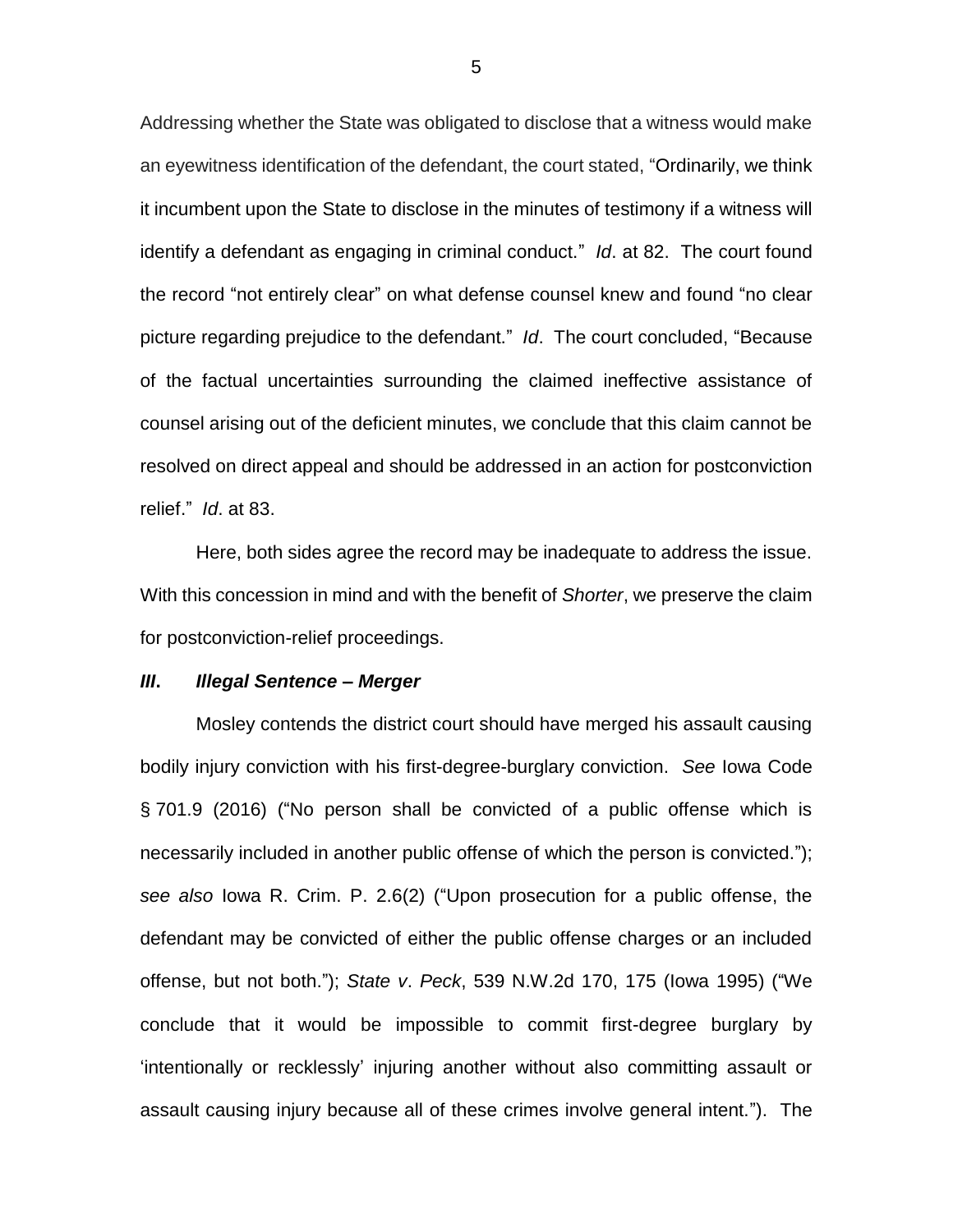Addressing whether the State was obligated to disclose that a witness would make an eyewitness identification of the defendant, the court stated, "Ordinarily, we think it incumbent upon the State to disclose in the minutes of testimony if a witness will identify a defendant as engaging in criminal conduct." *Id*. at 82. The court found the record "not entirely clear" on what defense counsel knew and found "no clear picture regarding prejudice to the defendant." *Id*. The court concluded, "Because of the factual uncertainties surrounding the claimed ineffective assistance of counsel arising out of the deficient minutes, we conclude that this claim cannot be resolved on direct appeal and should be addressed in an action for postconviction relief." *Id*. at 83.

Here, both sides agree the record may be inadequate to address the issue. With this concession in mind and with the benefit of *Shorter*, we preserve the claim for postconviction-relief proceedings.

#### *III***.** *Illegal Sentence – Merger*

Mosley contends the district court should have merged his assault causing bodily injury conviction with his first-degree-burglary conviction. *See* Iowa Code § 701.9 (2016) ("No person shall be convicted of a public offense which is necessarily included in another public offense of which the person is convicted."); *see also* Iowa R. Crim. P. 2.6(2) ("Upon prosecution for a public offense, the defendant may be convicted of either the public offense charges or an included offense, but not both."); *State v*. *Peck*, 539 N.W.2d 170, 175 (Iowa 1995) ("We conclude that it would be impossible to commit first-degree burglary by 'intentionally or recklessly' injuring another without also committing assault or assault causing injury because all of these crimes involve general intent."). The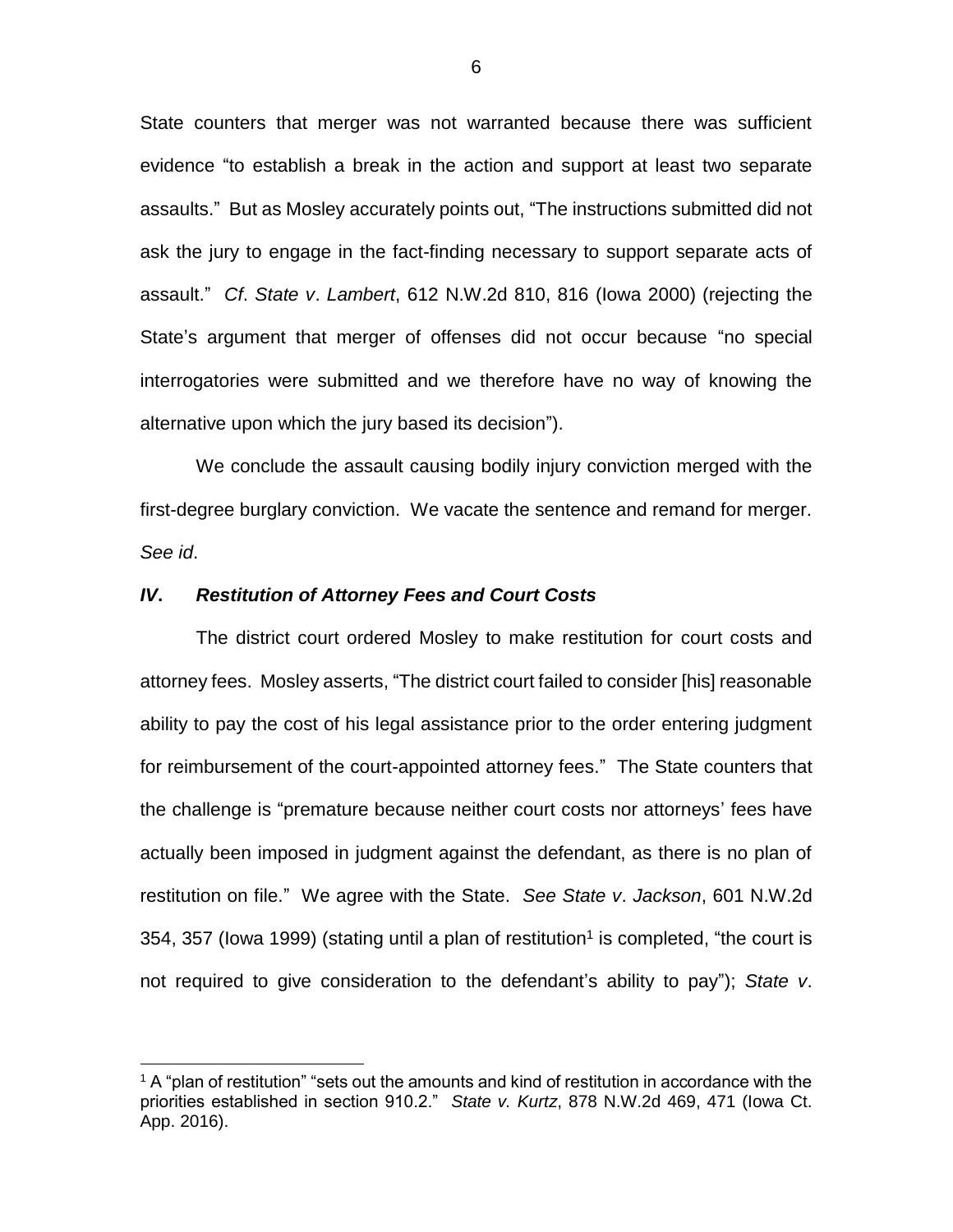State counters that merger was not warranted because there was sufficient evidence "to establish a break in the action and support at least two separate assaults." But as Mosley accurately points out, "The instructions submitted did not ask the jury to engage in the fact-finding necessary to support separate acts of assault." *Cf*. *State v*. *Lambert*, 612 N.W.2d 810, 816 (Iowa 2000) (rejecting the State's argument that merger of offenses did not occur because "no special interrogatories were submitted and we therefore have no way of knowing the alternative upon which the jury based its decision").

We conclude the assault causing bodily injury conviction merged with the first-degree burglary conviction. We vacate the sentence and remand for merger. *See id*.

#### *IV***.** *Restitution of Attorney Fees and Court Costs*

 $\overline{a}$ 

The district court ordered Mosley to make restitution for court costs and attorney fees. Mosley asserts, "The district court failed to consider [his] reasonable ability to pay the cost of his legal assistance prior to the order entering judgment for reimbursement of the court-appointed attorney fees." The State counters that the challenge is "premature because neither court costs nor attorneys' fees have actually been imposed in judgment against the defendant, as there is no plan of restitution on file." We agree with the State. *See State v*. *Jackson*, 601 N.W.2d 354, 357 (lowa 1999) (stating until a plan of restitution<sup>1</sup> is completed, "the court is not required to give consideration to the defendant's ability to pay"); *State v*.

 $1$  A "plan of restitution" "sets out the amounts and kind of restitution in accordance with the priorities established in section 910.2." *State v. Kurtz*, 878 N.W.2d 469, 471 (Iowa Ct. App. 2016).